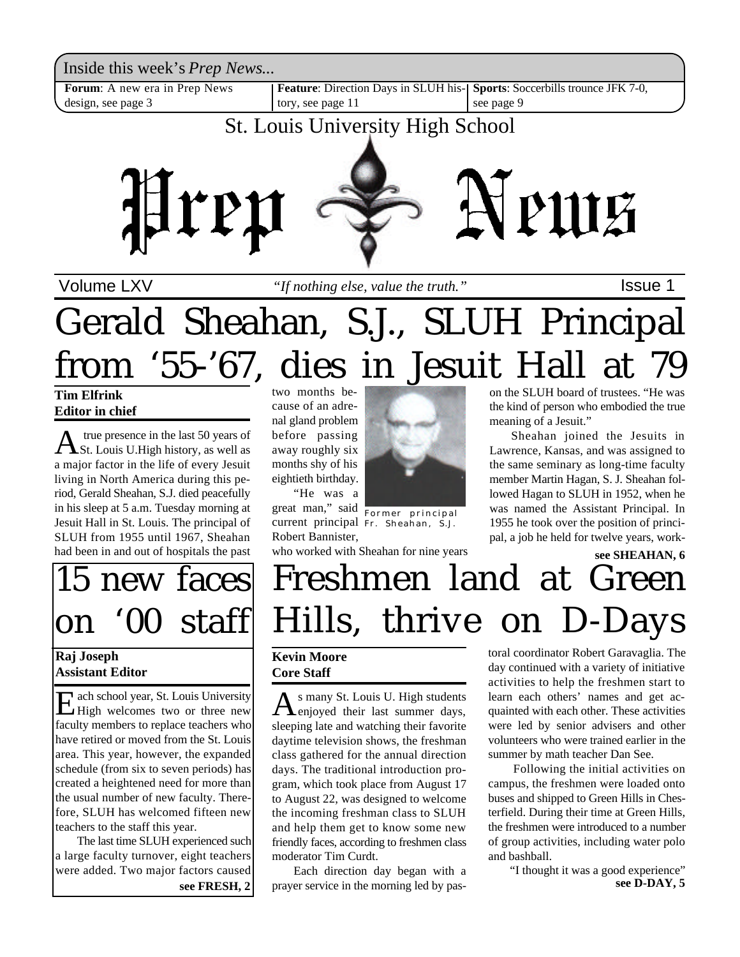Inside this week's *Prep News*...

**Forum**: A new era in Prep News design, see page 3

**Feature**: Direction Days in SLUH history, see page 11 **Sports**: Soccerbills trounce JFK 7-0, see page 9

### St. Louis University High School



Volume LXV **If nothing else**, value the truth." Supervisional setter the setter that is a lassue 1

# Gerald Sheahan, S.J., SLUH Principal from '55-'67, dies in Jesuit Hall at 79

**Tim Elfrink Editor in chief**

A true presence in the last 50 years of<br>St. Louis U.High history, as well as true presence in the last 50 years of a major factor in the life of every Jesuit living in North America during this period, Gerald Sheahan, S.J. died peacefully in his sleep at 5 a.m. Tuesday morning at Jesuit Hall in St. Louis. The principal of SLUH from 1955 until 1967, Sheahan had been in and out of hospitals the past

### 15 new faces on '00 staff

#### **Raj Joseph Assistant Editor**

E ach school year, St. Louis University<br>High welcomes two or three new High welcomes two or three new faculty members to replace teachers who have retired or moved from the St. Louis area. This year, however, the expanded schedule (from six to seven periods) has created a heightened need for more than the usual number of new faculty. Therefore, SLUH has welcomed fifteen new teachers to the staff this year.

The last time SLUH experienced such a large faculty turnover, eight teachers were added. Two major factors caused

two months because of an adrenal gland problem before passing away roughly six months shy of his eightieth birthday. "He was a

great man," said Former principal Robert Bannister,



current principal Fr. Sheahan, S.J.

who worked with Sheahan for nine years



on the SLUH board of trustees. "He was the kind of person who embodied the true meaning of a Jesuit."

Sheahan joined the Jesuits in Lawrence, Kansas, and was assigned to the same seminary as long-time faculty member Martin Hagan, S. J. Sheahan followed Hagan to SLUH in 1952, when he was named the Assistant Principal. In 1955 he took over the position of principal, a job he held for twelve years, work-

#### **see SHEAHAN, 6**

## Freshmen land at Green Hills, thrive on D-Days

#### **Kevin Moore Core Staff**

A s many St. Louis U. High students s many St. Louis U. High students sleeping late and watching their favorite daytime television shows, the freshman class gathered for the annual direction days. The traditional introduction program, which took place from August 17 to August 22, was designed to welcome the incoming freshman class to SLUH and help them get to know some new friendly faces, according to freshmen class moderator Tim Curdt.

Each direction day began with a **see FRESH, 2** prayer service in the morning led by pas-<br>see D-DAY, 5

toral coordinator Robert Garavaglia. The day continued with a variety of initiative activities to help the freshmen start to learn each others' names and get acquainted with each other. These activities were led by senior advisers and other volunteers who were trained earlier in the summer by math teacher Dan See.

 Following the initial activities on campus, the freshmen were loaded onto buses and shipped to Green Hills in Chesterfield. During their time at Green Hills, the freshmen were introduced to a number of group activities, including water polo and bashball.

"I thought it was a good experience"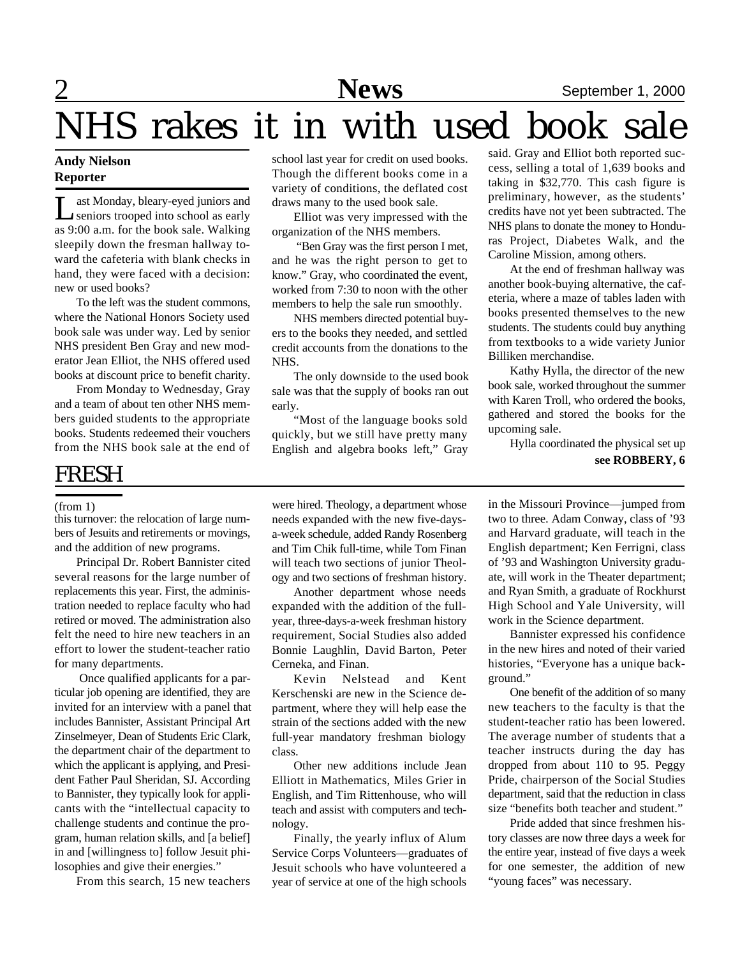### **News** September 1, 2000

## NHS rakes it in with used book sale

#### **Andy Nielson Reporter**

L ast Monday, bleary-eyed juniors and seniors trooped into school as early as 9:00 a.m. for the book sale. Walking sleepily down the fresman hallway toward the cafeteria with blank checks in hand, they were faced with a decision: new or used books?

To the left was the student commons, where the National Honors Society used book sale was under way. Led by senior NHS president Ben Gray and new moderator Jean Elliot, the NHS offered used books at discount price to benefit charity.

From Monday to Wednesday, Gray and a team of about ten other NHS members guided students to the appropriate books. Students redeemed their vouchers from the NHS book sale at the end of

#### FRESH

#### (from 1)

this turnover: the relocation of large numbers of Jesuits and retirements or movings, and the addition of new programs.

Principal Dr. Robert Bannister cited several reasons for the large number of replacements this year. First, the administration needed to replace faculty who had retired or moved. The administration also felt the need to hire new teachers in an effort to lower the student-teacher ratio for many departments.

 Once qualified applicants for a particular job opening are identified, they are invited for an interview with a panel that includes Bannister, Assistant Principal Art Zinselmeyer, Dean of Students Eric Clark, the department chair of the department to which the applicant is applying, and President Father Paul Sheridan, SJ. According to Bannister, they typically look for applicants with the "intellectual capacity to challenge students and continue the program, human relation skills, and [a belief] in and [willingness to] follow Jesuit philosophies and give their energies."

From this search, 15 new teachers

school last year for credit on used books. Though the different books come in a variety of conditions, the deflated cost draws many to the used book sale.

Elliot was very impressed with the organization of the NHS members.

 "Ben Gray was the first person I met, and he was the right person to get to know." Gray, who coordinated the event, worked from 7:30 to noon with the other members to help the sale run smoothly.

NHS members directed potential buyers to the books they needed, and settled credit accounts from the donations to the NHS.

The only downside to the used book sale was that the supply of books ran out early.

"Most of the language books sold quickly, but we still have pretty many English and algebra books left," Gray said. Gray and Elliot both reported success, selling a total of 1,639 books and taking in \$32,770. This cash figure is preliminary, however, as the students' credits have not yet been subtracted. The NHS plans to donate the money to Honduras Project, Diabetes Walk, and the Caroline Mission, among others.

At the end of freshman hallway was another book-buying alternative, the cafeteria, where a maze of tables laden with books presented themselves to the new students. The students could buy anything from textbooks to a wide variety Junior Billiken merchandise.

Kathy Hylla, the director of the new book sale, worked throughout the summer with Karen Troll, who ordered the books, gathered and stored the books for the upcoming sale.

> Hylla coordinated the physical set up **see ROBBERY, 6**

were hired. Theology, a department whose needs expanded with the new five-daysa-week schedule, added Randy Rosenberg and Tim Chik full-time, while Tom Finan will teach two sections of junior Theology and two sections of freshman history.

Another department whose needs expanded with the addition of the fullyear, three-days-a-week freshman history requirement, Social Studies also added Bonnie Laughlin, David Barton, Peter Cerneka, and Finan.

Kevin Nelstead and Kent Kerschenski are new in the Science department, where they will help ease the strain of the sections added with the new full-year mandatory freshman biology class.

Other new additions include Jean Elliott in Mathematics, Miles Grier in English, and Tim Rittenhouse, who will teach and assist with computers and technology.

Finally, the yearly influx of Alum Service Corps Volunteers—graduates of Jesuit schools who have volunteered a year of service at one of the high schools in the Missouri Province—jumped from two to three. Adam Conway, class of '93 and Harvard graduate, will teach in the English department; Ken Ferrigni, class of '93 and Washington University graduate, will work in the Theater department; and Ryan Smith, a graduate of Rockhurst High School and Yale University, will work in the Science department.

Bannister expressed his confidence in the new hires and noted of their varied histories, "Everyone has a unique background."

One benefit of the addition of so many new teachers to the faculty is that the student-teacher ratio has been lowered. The average number of students that a teacher instructs during the day has dropped from about 110 to 95. Peggy Pride, chairperson of the Social Studies department, said that the reduction in class size "benefits both teacher and student."

Pride added that since freshmen history classes are now three days a week for the entire year, instead of five days a week for one semester, the addition of new "young faces" was necessary.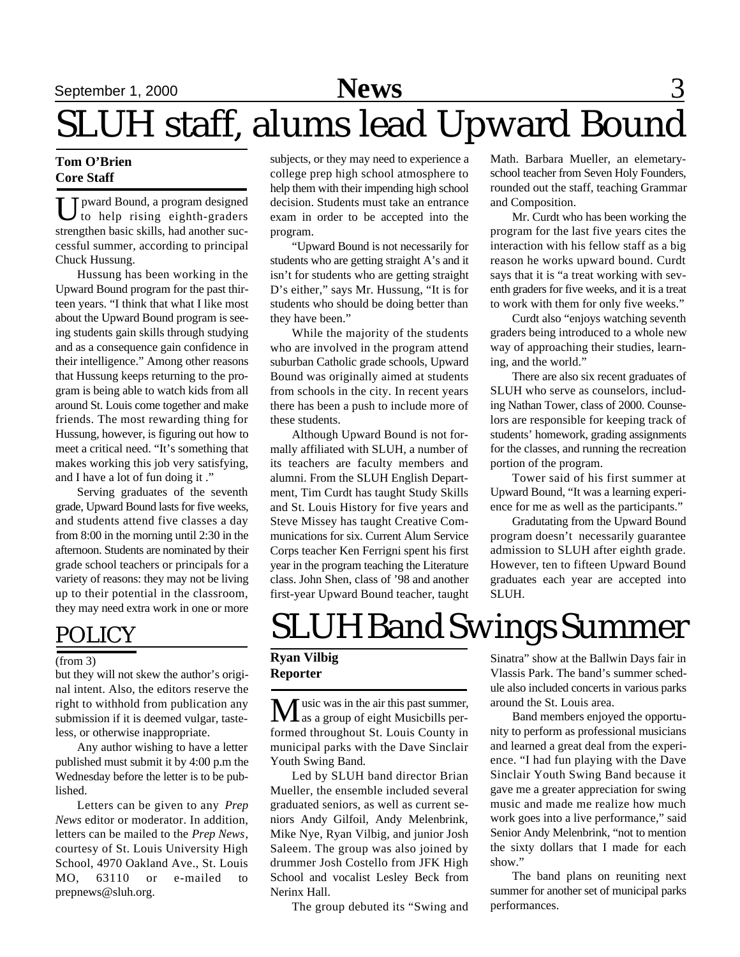### September 1, 2000 **News** 3

# SLUH staff, alums lead Upward Bound

#### **Tom O'Brien Core Staff**

U pward Bound, a program designed<br>to help rising eighth-graders to help rising eighth-graders strengthen basic skills, had another successful summer, according to principal Chuck Hussung.

Hussung has been working in the Upward Bound program for the past thirteen years. "I think that what I like most about the Upward Bound program is seeing students gain skills through studying and as a consequence gain confidence in their intelligence." Among other reasons that Hussung keeps returning to the program is being able to watch kids from all around St. Louis come together and make friends. The most rewarding thing for Hussung, however, is figuring out how to meet a critical need. "It's something that makes working this job very satisfying, and I have a lot of fun doing it ."

Serving graduates of the seventh grade, Upward Bound lasts for five weeks, and students attend five classes a day from 8:00 in the morning until 2:30 in the afternoon. Students are nominated by their grade school teachers or principals for a variety of reasons: they may not be living up to their potential in the classroom, they may need extra work in one or more

#### POLICY

#### (from 3)

but they will not skew the author's original intent. Also, the editors reserve the right to withhold from publication any submission if it is deemed vulgar, tasteless, or otherwise inappropriate.

Any author wishing to have a letter published must submit it by 4:00 p.m the Wednesday before the letter is to be published.

Letters can be given to any *Prep News* editor or moderator. In addition, letters can be mailed to the *Prep News*, courtesy of St. Louis University High School, 4970 Oakland Ave., St. Louis MO, 63110 or e-mailed to prepnews@sluh.org.

subjects, or they may need to experience a college prep high school atmosphere to help them with their impending high school decision. Students must take an entrance exam in order to be accepted into the program.

"Upward Bound is not necessarily for students who are getting straight A's and it isn't for students who are getting straight D's either," says Mr. Hussung, "It is for students who should be doing better than they have been."

While the majority of the students who are involved in the program attend suburban Catholic grade schools, Upward Bound was originally aimed at students from schools in the city. In recent years there has been a push to include more of these students.

Although Upward Bound is not formally affiliated with SLUH, a number of its teachers are faculty members and alumni. From the SLUH English Department, Tim Curdt has taught Study Skills and St. Louis History for five years and Steve Missey has taught Creative Communications for six. Current Alum Service Corps teacher Ken Ferrigni spent his first year in the program teaching the Literature class. John Shen, class of '98 and another first-year Upward Bound teacher, taught Math. Barbara Mueller, an elemetaryschool teacher from Seven Holy Founders, rounded out the staff, teaching Grammar and Composition.

Mr. Curdt who has been working the program for the last five years cites the interaction with his fellow staff as a big reason he works upward bound. Curdt says that it is "a treat working with seventh graders for five weeks, and it is a treat to work with them for only five weeks."

Curdt also "enjoys watching seventh graders being introduced to a whole new way of approaching their studies, learning, and the world."

There are also six recent graduates of SLUH who serve as counselors, including Nathan Tower, class of 2000. Counselors are responsible for keeping track of students' homework, grading assignments for the classes, and running the recreation portion of the program.

Tower said of his first summer at Upward Bound, "It was a learning experience for me as well as the participants."

Gradutating from the Upward Bound program doesn't necessarily guarantee admission to SLUH after eighth grade. However, ten to fifteen Upward Bound graduates each year are accepted into SLUH.

### SLUH Band Swings Summer

#### **Ryan Vilbig Reporter**

**M** usic was in the air this past summer,<br>as a group of eight Musicbills performed throughout St. Louis County in municipal parks with the Dave Sinclair Youth Swing Band.

Led by SLUH band director Brian Mueller, the ensemble included several graduated seniors, as well as current seniors Andy Gilfoil, Andy Melenbrink, Mike Nye, Ryan Vilbig, and junior Josh Saleem. The group was also joined by drummer Josh Costello from JFK High School and vocalist Lesley Beck from Nerinx Hall.

The group debuted its "Swing and

Sinatra" show at the Ballwin Days fair in Vlassis Park. The band's summer schedule also included concerts in various parks around the St. Louis area.

Band members enjoyed the opportunity to perform as professional musicians and learned a great deal from the experience. "I had fun playing with the Dave Sinclair Youth Swing Band because it gave me a greater appreciation for swing music and made me realize how much work goes into a live performance," said Senior Andy Melenbrink, "not to mention the sixty dollars that I made for each show."

The band plans on reuniting next summer for another set of municipal parks performances.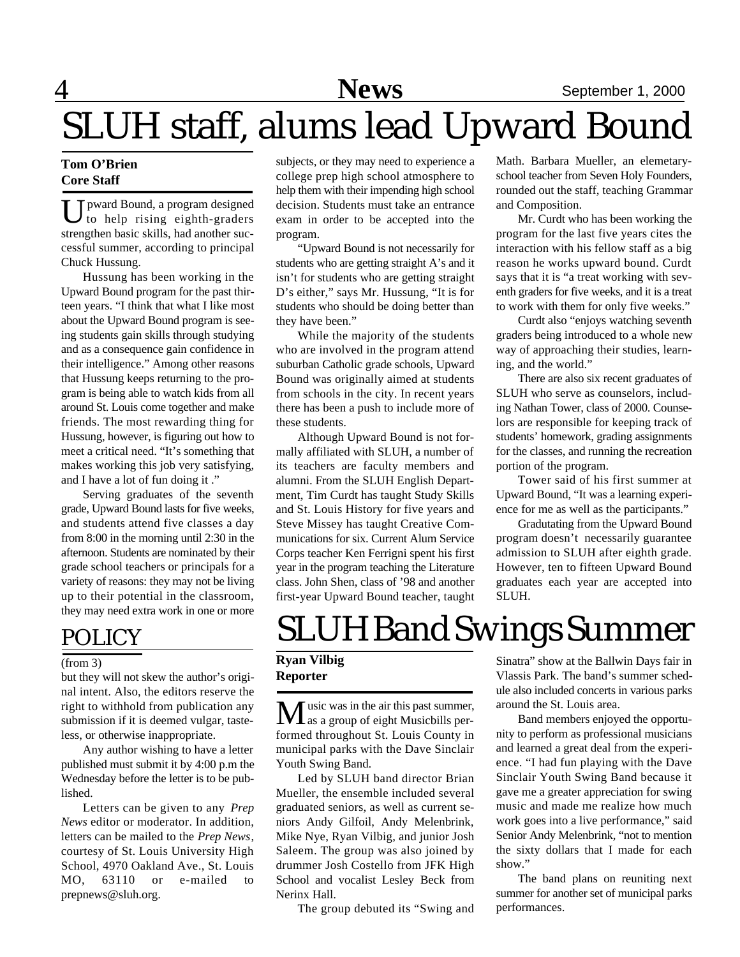### SLUH staff, alums lead Upward Bound

#### **Tom O'Brien Core Staff**

U pward Bound, a program designed<br>to help rising eighth-graders pward Bound, a program designed strengthen basic skills, had another successful summer, according to principal Chuck Hussung.

Hussung has been working in the Upward Bound program for the past thirteen years. "I think that what I like most about the Upward Bound program is seeing students gain skills through studying and as a consequence gain confidence in their intelligence." Among other reasons that Hussung keeps returning to the program is being able to watch kids from all around St. Louis come together and make friends. The most rewarding thing for Hussung, however, is figuring out how to meet a critical need. "It's something that makes working this job very satisfying, and I have a lot of fun doing it ."

Serving graduates of the seventh grade, Upward Bound lasts for five weeks, and students attend five classes a day from 8:00 in the morning until 2:30 in the afternoon. Students are nominated by their grade school teachers or principals for a variety of reasons: they may not be living up to their potential in the classroom, they may need extra work in one or more

#### POLICY

#### (from 3)

but they will not skew the author's original intent. Also, the editors reserve the right to withhold from publication any submission if it is deemed vulgar, tasteless, or otherwise inappropriate.

Any author wishing to have a letter published must submit it by 4:00 p.m the Wednesday before the letter is to be published.

Letters can be given to any *Prep News* editor or moderator. In addition, letters can be mailed to the *Prep News*, courtesy of St. Louis University High School, 4970 Oakland Ave., St. Louis MO, 63110 or e-mailed to prepnews@sluh.org.

subjects, or they may need to experience a college prep high school atmosphere to help them with their impending high school decision. Students must take an entrance exam in order to be accepted into the program.

"Upward Bound is not necessarily for students who are getting straight A's and it isn't for students who are getting straight D's either," says Mr. Hussung, "It is for students who should be doing better than they have been."

While the majority of the students who are involved in the program attend suburban Catholic grade schools, Upward Bound was originally aimed at students from schools in the city. In recent years there has been a push to include more of these students.

Although Upward Bound is not formally affiliated with SLUH, a number of its teachers are faculty members and alumni. From the SLUH English Department, Tim Curdt has taught Study Skills and St. Louis History for five years and Steve Missey has taught Creative Communications for six. Current Alum Service Corps teacher Ken Ferrigni spent his first year in the program teaching the Literature class. John Shen, class of '98 and another first-year Upward Bound teacher, taught Math. Barbara Mueller, an elemetaryschool teacher from Seven Holy Founders, rounded out the staff, teaching Grammar and Composition.

Mr. Curdt who has been working the program for the last five years cites the interaction with his fellow staff as a big reason he works upward bound. Curdt says that it is "a treat working with seventh graders for five weeks, and it is a treat to work with them for only five weeks."

Curdt also "enjoys watching seventh graders being introduced to a whole new way of approaching their studies, learning, and the world."

There are also six recent graduates of SLUH who serve as counselors, including Nathan Tower, class of 2000. Counselors are responsible for keeping track of students' homework, grading assignments for the classes, and running the recreation portion of the program.

Tower said of his first summer at Upward Bound, "It was a learning experience for me as well as the participants."

Gradutating from the Upward Bound program doesn't necessarily guarantee admission to SLUH after eighth grade. However, ten to fifteen Upward Bound graduates each year are accepted into SLUH.

### SLUH Band Swings Summer

#### **Ryan Vilbig Reporter**

usic was in the air this past summer,  $\perp$  as a group of eight Musicbills performed throughout St. Louis County in municipal parks with the Dave Sinclair Youth Swing Band.

Led by SLUH band director Brian Mueller, the ensemble included several graduated seniors, as well as current seniors Andy Gilfoil, Andy Melenbrink, Mike Nye, Ryan Vilbig, and junior Josh Saleem. The group was also joined by drummer Josh Costello from JFK High School and vocalist Lesley Beck from Nerinx Hall.

The group debuted its "Swing and

Sinatra" show at the Ballwin Days fair in Vlassis Park. The band's summer schedule also included concerts in various parks around the St. Louis area.

Band members enjoyed the opportunity to perform as professional musicians and learned a great deal from the experience. "I had fun playing with the Dave Sinclair Youth Swing Band because it gave me a greater appreciation for swing music and made me realize how much work goes into a live performance," said Senior Andy Melenbrink, "not to mention the sixty dollars that I made for each show."

The band plans on reuniting next summer for another set of municipal parks performances.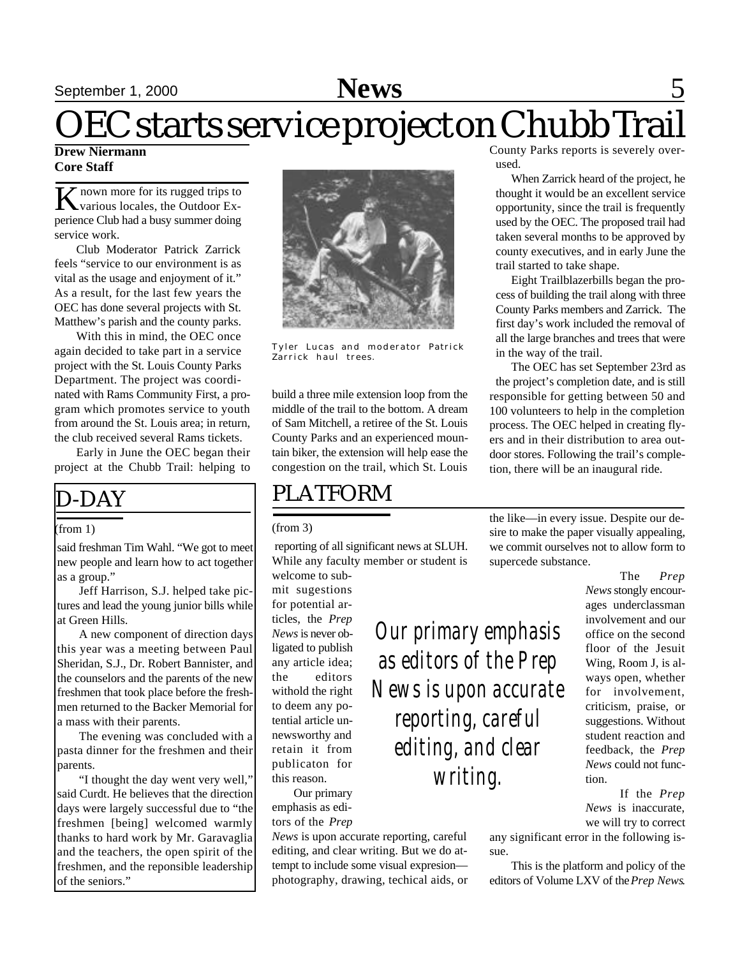### September 1, 2000 **News** 5

# OEC starts service project on Chubb Trail

#### **Drew Niermann Core Staff**

K nown more for its rugged trips to<br>
Various locales, the Outdoor Ex- $\blacktriangleright$  nown more for its rugged trips to perience Club had a busy summer doing service work.

Club Moderator Patrick Zarrick feels "service to our environment is as vital as the usage and enjoyment of it." As a result, for the last few years the OEC has done several projects with St. Matthew's parish and the county parks.

With this in mind, the OEC once again decided to take part in a service project with the St. Louis County Parks Department. The project was coordinated with Rams Community First, a program which promotes service to youth from around the St. Louis area; in return, the club received several Rams tickets.

Early in June the OEC began their project at the Chubb Trail: helping to

### D-DAY

#### (from 1)

said freshman Tim Wahl. "We got to meet new people and learn how to act together as a group."

Jeff Harrison, S.J. helped take pictures and lead the young junior bills while at Green Hills.

A new component of direction days this year was a meeting between Paul Sheridan, S.J., Dr. Robert Bannister, and the counselors and the parents of the new freshmen that took place before the freshmen returned to the Backer Memorial for a mass with their parents.

The evening was concluded with a pasta dinner for the freshmen and their parents.

"I thought the day went very well," said Curdt. He believes that the direction days were largely successful due to "the freshmen [being] welcomed warmly thanks to hard work by Mr. Garavaglia and the teachers, the open spirit of the freshmen, and the reponsible leadership of the seniors."



Tyler Lucas and moderator Patrick Zarrick haul trees.

build a three mile extension loop from the middle of the trail to the bottom. A dream of Sam Mitchell, a retiree of the St. Louis County Parks and an experienced mountain biker, the extension will help ease the congestion on the trail, which St. Louis

### PLATFORM

#### (from 3)

 reporting of all significant news at SLUH. While any faculty member or student is

welcome to submit sugestions for potential articles, the *Prep News* is never obligated to publish any article idea; the editors withold the right to deem any potential article unnewsworthy and retain it from publicaton for this reason.

Our primary emphasis as editors of the *Prep*

*News* is upon accurate reporting, careful editing, and clear writing. But we do attempt to include some visual expresion photography, drawing, techical aids, or County Parks reports is severely overused.

When Zarrick heard of the project, he thought it would be an excellent service opportunity, since the trail is frequently used by the OEC. The proposed trail had taken several months to be approved by county executives, and in early June the trail started to take shape.

Eight Trailblazerbills began the process of building the trail along with three County Parks members and Zarrick. The first day's work included the removal of all the large branches and trees that were in the way of the trail.

The OEC has set September 23rd as the project's completion date, and is still responsible for getting between 50 and 100 volunteers to help in the completion process. The OEC helped in creating flyers and in their distribution to area outdoor stores. Following the trail's completion, there will be an inaugural ride.

the like—in every issue. Despite our desire to make the paper visually appealing, we commit ourselves not to allow form to supercede substance.

> The *Prep News* stongly encourages underclassman involvement and our office on the second floor of the Jesuit Wing, Room J, is always open, whether for involvement, criticism, praise, or suggestions. Without student reaction and feedback, the *Prep News* could not function.

> If the *Prep News* is inaccurate, we will try to correct

any significant error in the following issue.

This is the platform and policy of the editors of Volume LXV of the *Prep News*.

*Our primary emphasis as editors of the Prep News is upon accurate reporting, careful editing, and clear writing.*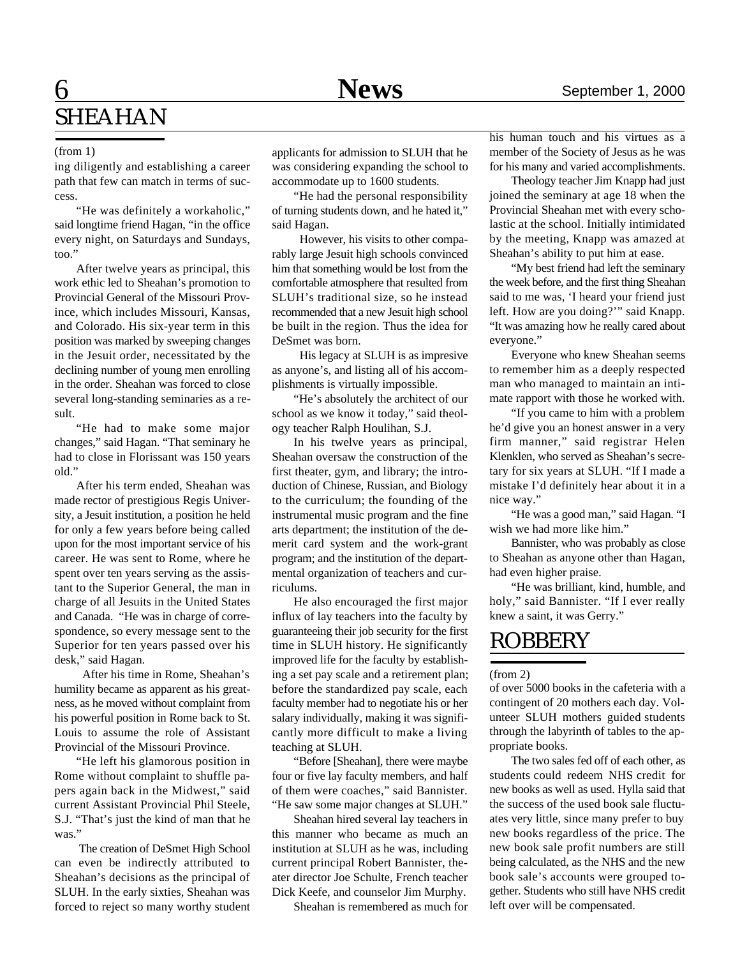### 6 **News** September 1, 2000 SHEAHAN

#### (from 1)

ing diligently and establishing a career path that few can match in terms of success.

"He was definitely a workaholic," said longtime friend Hagan, "in the office every night, on Saturdays and Sundays, too."

After twelve years as principal, this work ethic led to Sheahan's promotion to Provincial General of the Missouri Province, which includes Missouri, Kansas, and Colorado. His six-year term in this position was marked by sweeping changes in the Jesuit order, necessitated by the declining number of young men enrolling in the order. Sheahan was forced to close several long-standing seminaries as a result.

"He had to make some major changes," said Hagan. "That seminary he had to close in Florissant was 150 years old."

After his term ended, Sheahan was made rector of prestigious Regis University, a Jesuit institution, a position he held for only a few years before being called upon for the most important service of his career. He was sent to Rome, where he spent over ten years serving as the assistant to the Superior General, the man in charge of all Jesuits in the United States and Canada. "He was in charge of correspondence, so every message sent to the Superior for ten years passed over his desk," said Hagan.

 After his time in Rome, Sheahan's humility became as apparent as his greatness, as he moved without complaint from his powerful position in Rome back to St. Louis to assume the role of Assistant Provincial of the Missouri Province.

"He left his glamorous position in Rome without complaint to shuffle papers again back in the Midwest," said current Assistant Provincial Phil Steele, S.J. "That's just the kind of man that he was."

 The creation of DeSmet High School can even be indirectly attributed to Sheahan's decisions as the principal of SLUH. In the early sixties, Sheahan was forced to reject so many worthy student applicants for admission to SLUH that he was considering expanding the school to accommodate up to 1600 students.

"He had the personal responsibility of turning students down, and he hated it," said Hagan.

 However, his visits to other comparably large Jesuit high schools convinced him that something would be lost from the comfortable atmosphere that resulted from SLUH's traditional size, so he instead recommended that a new Jesuit high school be built in the region. Thus the idea for DeSmet was born.

 His legacy at SLUH is as impresive as anyone's, and listing all of his accomplishments is virtually impossible.

"He's absolutely the architect of our school as we know it today," said theology teacher Ralph Houlihan, S.J.

In his twelve years as principal, Sheahan oversaw the construction of the first theater, gym, and library; the introduction of Chinese, Russian, and Biology to the curriculum; the founding of the instrumental music program and the fine arts department; the institution of the demerit card system and the work-grant program; and the institution of the departmental organization of teachers and curriculums.

He also encouraged the first major influx of lay teachers into the faculty by guaranteeing their job security for the first time in SLUH history. He significantly improved life for the faculty by establishing a set pay scale and a retirement plan; before the standardized pay scale, each faculty member had to negotiate his or her salary individually, making it was significantly more difficult to make a living teaching at SLUH.

"Before [Sheahan], there were maybe four or five lay faculty members, and half of them were coaches," said Bannister. "He saw some major changes at SLUH."

Sheahan hired several lay teachers in this manner who became as much an institution at SLUH as he was, including current principal Robert Bannister, theater director Joe Schulte, French teacher Dick Keefe, and counselor Jim Murphy.

Sheahan is remembered as much for

his human touch and his virtues as a member of the Society of Jesus as he was for his many and varied accomplishments.

Theology teacher Jim Knapp had just joined the seminary at age 18 when the Provincial Sheahan met with every scholastic at the school. Initially intimidated by the meeting, Knapp was amazed at Sheahan's ability to put him at ease.

"My best friend had left the seminary the week before, and the first thing Sheahan said to me was, 'I heard your friend just left. How are you doing?'" said Knapp. "It was amazing how he really cared about everyone."

Everyone who knew Sheahan seems to remember him as a deeply respected man who managed to maintain an intimate rapport with those he worked with.

"If you came to him with a problem he'd give you an honest answer in a very firm manner," said registrar Helen Klenklen, who served as Sheahan's secretary for six years at SLUH. "If I made a mistake I'd definitely hear about it in a nice way."

"He was a good man," said Hagan. "I wish we had more like him."

Bannister, who was probably as close to Sheahan as anyone other than Hagan, had even higher praise.

"He was brilliant, kind, humble, and holy," said Bannister. "If I ever really knew a saint, it was Gerry."

#### **ROBBERY**

(from 2)

of over 5000 books in the cafeteria with a contingent of 20 mothers each day. Volunteer SLUH mothers guided students through the labyrinth of tables to the appropriate books.

The two sales fed off of each other, as students could redeem NHS credit for new books as well as used. Hylla said that the success of the used book sale fluctuates very little, since many prefer to buy new books regardless of the price. The new book sale profit numbers are still being calculated, as the NHS and the new book sale's accounts were grouped together. Students who still have NHS credit left over will be compensated.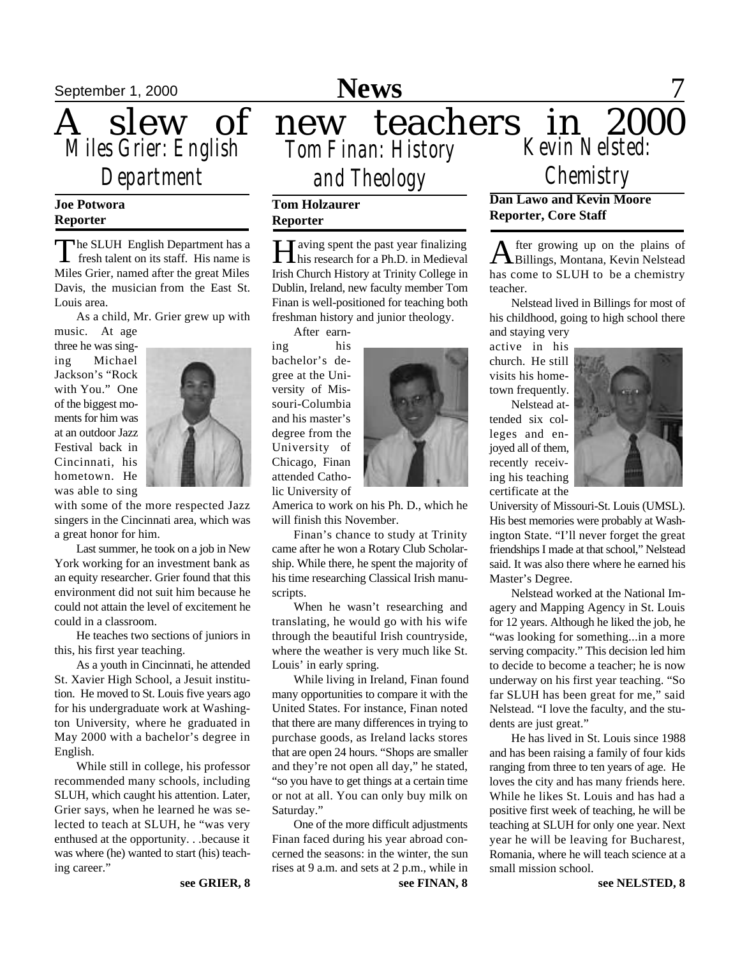

### *Department*

#### **Joe Potwora Reporter**

The SLUH English Department has a<br>fresh talent on its staff. His name is The SLUH English Department has a Miles Grier, named after the great Miles Davis, the musician from the East St. Louis area.

As a child, Mr. Grier grew up with

music. At age three he was singing Michael Jackson's "Rock with You." One of the biggest moments for him was at an outdoor Jazz Festival back in Cincinnati, his hometown. He was able to sing



with some of the more respected Jazz singers in the Cincinnati area, which was a great honor for him.

Last summer, he took on a job in New York working for an investment bank as an equity researcher. Grier found that this environment did not suit him because he could not attain the level of excitement he could in a classroom.

He teaches two sections of juniors in this, his first year teaching.

As a youth in Cincinnati, he attended St. Xavier High School, a Jesuit institution. He moved to St. Louis five years ago for his undergraduate work at Washington University, where he graduated in May 2000 with a bachelor's degree in English.

While still in college, his professor recommended many schools, including SLUH, which caught his attention. Later, Grier says, when he learned he was selected to teach at SLUH, he "was very enthused at the opportunity. . .because it was where (he) wanted to start (his) teaching career."

September 1, 2000 **News** 7

*Tom Finan: History Kevin Nelsted: and Theology*

#### **Tom Holzaurer Reporter**

**H** aving spent the past year finalizing<br>his research for a Ph.D. in Medieval T aving spent the past year finalizing Irish Church History at Trinity College in Dublin, Ireland, new faculty member Tom Finan is well-positioned for teaching both freshman history and junior theology.

After earn-

ing his bachelor's degree at the University of Missouri-Columbia and his master's degree from the University of Chicago, Finan attended Catholic University of



America to work on his Ph. D., which he will finish this November.

Finan's chance to study at Trinity came after he won a Rotary Club Scholarship. While there, he spent the majority of his time researching Classical Irish manuscripts.

When he wasn't researching and translating, he would go with his wife through the beautiful Irish countryside, where the weather is very much like St. Louis' in early spring.

While living in Ireland, Finan found many opportunities to compare it with the United States. For instance, Finan noted that there are many differences in trying to purchase goods, as Ireland lacks stores that are open 24 hours. "Shops are smaller and they're not open all day," he stated, "so you have to get things at a certain time or not at all. You can only buy milk on Saturday."

One of the more difficult adjustments Finan faced during his year abroad concerned the seasons: in the winter, the sun rises at 9 a.m. and sets at 2 p.m., while in **Dan Lawo and Kevin Moore** *Chemistry*

**Reporter, Core Staff** fter growing up on the plains of

A fter growing up on the plains of<br>Billings, Montana, Kevin Nelstead has come to SLUH to be a chemistry teacher.

Nelstead lived in Billings for most of his childhood, going to high school there and staying very

active in his church. He still visits his hometown frequently.

Nelstead attended six colleges and enjoyed all of them, recently receiving his teaching certificate at the



University of Missouri-St. Louis (UMSL). His best memories were probably at Washington State. "I'll never forget the great friendships I made at that school," Nelstead said. It was also there where he earned his Master's Degree.

Nelstead worked at the National Imagery and Mapping Agency in St. Louis for 12 years. Although he liked the job, he "was looking for something...in a more serving compacity." This decision led him to decide to become a teacher; he is now underway on his first year teaching. "So far SLUH has been great for me," said Nelstead. "I love the faculty, and the students are just great."

He has lived in St. Louis since 1988 and has been raising a family of four kids ranging from three to ten years of age. He loves the city and has many friends here. While he likes St. Louis and has had a positive first week of teaching, he will be teaching at SLUH for only one year. Next year he will be leaving for Bucharest, Romania, where he will teach science at a small mission school.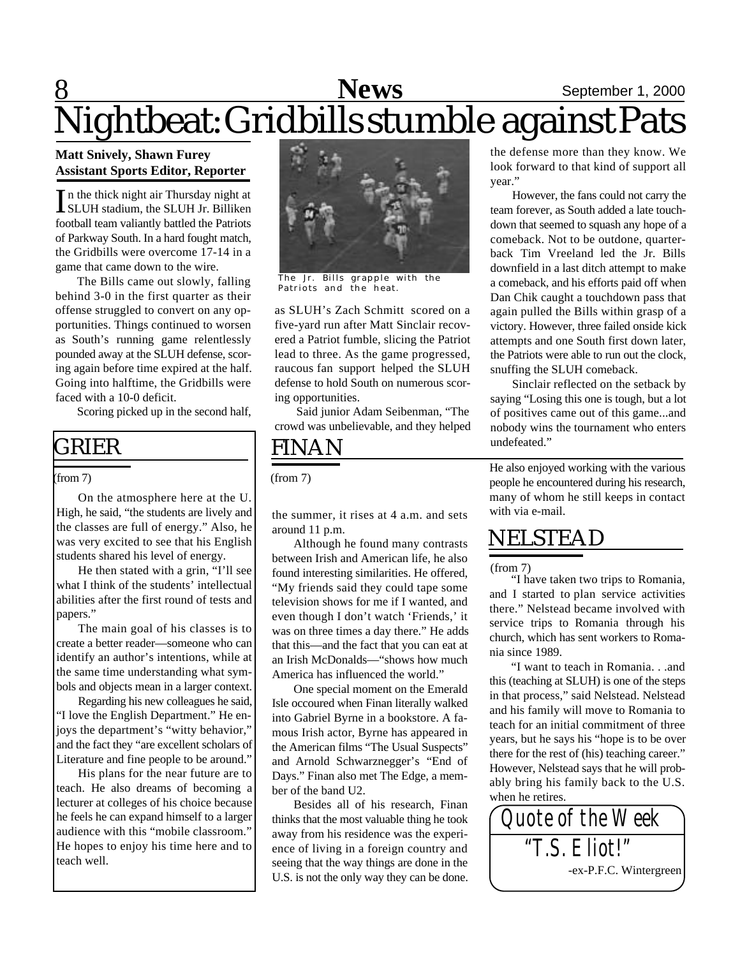### **8** September 1, 2000 Nightbeat: Gridbills stumble against Pats

#### **Matt Snively, Shawn Furey Assistant Sports Editor, Reporter**

In the thick night air Thursday night at<br>SLUH stadium, the SLUH Jr. Billiken n the thick night air Thursday night at football team valiantly battled the Patriots of Parkway South. In a hard fought match, the Gridbills were overcome 17-14 in a game that came down to the wire.

The Bills came out slowly, falling behind 3-0 in the first quarter as their offense struggled to convert on any opportunities. Things continued to worsen as South's running game relentlessly pounded away at the SLUH defense, scoring again before time expired at the half. Going into halftime, the Gridbills were faced with a 10-0 deficit.

Scoring picked up in the second half,

#### GRIER

#### (from 7)

On the atmosphere here at the U. High, he said, "the students are lively and the classes are full of energy." Also, he was very excited to see that his English students shared his level of energy.

He then stated with a grin, "I'll see what I think of the students' intellectual abilities after the first round of tests and papers."

The main goal of his classes is to create a better reader—someone who can identify an author's intentions, while at the same time understanding what symbols and objects mean in a larger context.

Regarding his new colleagues he said, "I love the English Department." He enjoys the department's "witty behavior," and the fact they "are excellent scholars of Literature and fine people to be around."

His plans for the near future are to teach. He also dreams of becoming a lecturer at colleges of his choice because he feels he can expand himself to a larger audience with this "mobile classroom." He hopes to enjoy his time here and to teach well.



The Jr. Bills grapple with the Patriots and the heat.

as SLUH's Zach Schmitt scored on a five-yard run after Matt Sinclair recovered a Patriot fumble, slicing the Patriot lead to three. As the game progressed, raucous fan support helped the SLUH defense to hold South on numerous scoring opportunities.

Said junior Adam Seibenman, "The crowd was unbelievable, and they helped

#### FINAN

(from 7)

the summer, it rises at 4 a.m. and sets around 11 p.m.

Although he found many contrasts between Irish and American life, he also found interesting similarities. He offered, "My friends said they could tape some television shows for me if I wanted, and even though I don't watch 'Friends,' it was on three times a day there." He adds that this—and the fact that you can eat at an Irish McDonalds—"shows how much America has influenced the world."

One special moment on the Emerald Isle occoured when Finan literally walked into Gabriel Byrne in a bookstore. A famous Irish actor, Byrne has appeared in the American films "The Usual Suspects" and Arnold Schwarznegger's "End of Days." Finan also met The Edge, a member of the band U2.

Besides all of his research, Finan thinks that the most valuable thing he took away from his residence was the experience of living in a foreign country and seeing that the way things are done in the U.S. is not the only way they can be done. the defense more than they know. We look forward to that kind of support all year."

However, the fans could not carry the team forever, as South added a late touchdown that seemed to squash any hope of a comeback. Not to be outdone, quarterback Tim Vreeland led the Jr. Bills downfield in a last ditch attempt to make a comeback, and his efforts paid off when Dan Chik caught a touchdown pass that again pulled the Bills within grasp of a victory. However, three failed onside kick attempts and one South first down later, the Patriots were able to run out the clock, snuffing the SLUH comeback.

Sinclair reflected on the setback by saying "Losing this one is tough, but a lot of positives came out of this game...and nobody wins the tournament who enters undefeated."

He also enjoyed working with the various people he encountered during his research, many of whom he still keeps in contact with via e-mail.

### NELSTEAD

#### (from 7)

"I have taken two trips to Romania, and I started to plan service activities there." Nelstead became involved with service trips to Romania through his church, which has sent workers to Romania since 1989.

"I want to teach in Romania. . .and this (teaching at SLUH) is one of the steps in that process," said Nelstead. Nelstead and his family will move to Romania to teach for an initial commitment of three years, but he says his "hope is to be over there for the rest of (his) teaching career." However, Nelstead says that he will probably bring his family back to the U.S. when he retires.

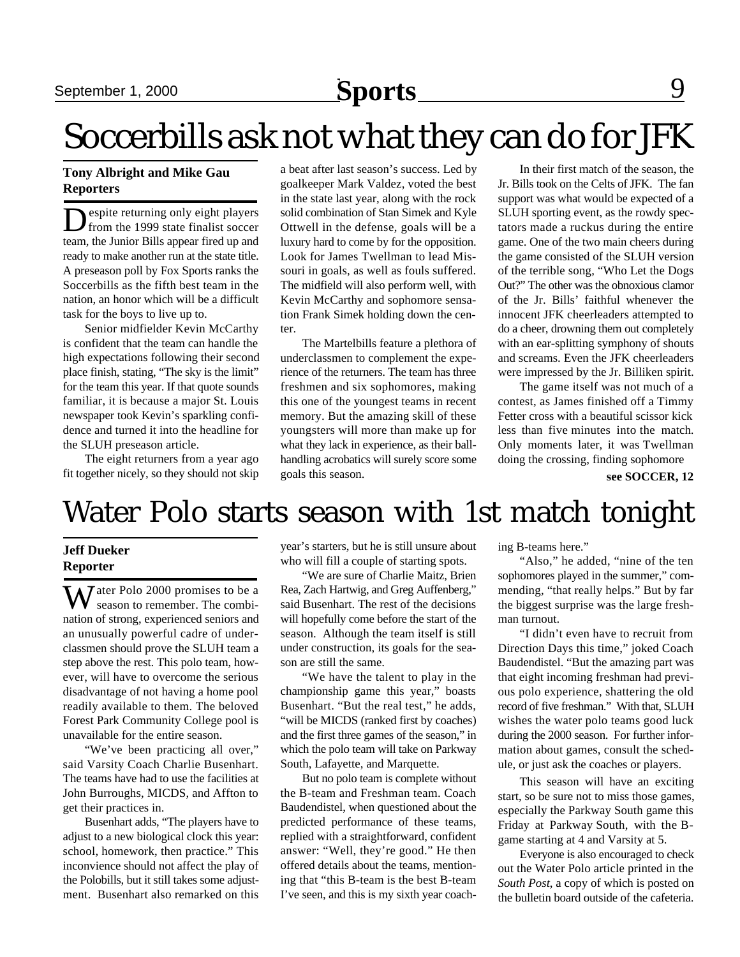### Soccerbills ask not what they can do for JFK

#### **Tony Albright and Mike Gau Reporters**

D espite returning only eight players from the 1999 state finalist soccer team, the Junior Bills appear fired up and ready to make another run at the state title. A preseason poll by Fox Sports ranks the Soccerbills as the fifth best team in the nation, an honor which will be a difficult task for the boys to live up to.

Senior midfielder Kevin McCarthy is confident that the team can handle the high expectations following their second place finish, stating, "The sky is the limit" for the team this year. If that quote sounds familiar, it is because a major St. Louis newspaper took Kevin's sparkling confidence and turned it into the headline for the SLUH preseason article.

The eight returners from a year ago fit together nicely, so they should not skip a beat after last season's success. Led by goalkeeper Mark Valdez, voted the best in the state last year, along with the rock solid combination of Stan Simek and Kyle Ottwell in the defense, goals will be a luxury hard to come by for the opposition. Look for James Twellman to lead Missouri in goals, as well as fouls suffered. The midfield will also perform well, with Kevin McCarthy and sophomore sensation Frank Simek holding down the center.

The Martelbills feature a plethora of underclassmen to complement the experience of the returners. The team has three freshmen and six sophomores, making this one of the youngest teams in recent memory. But the amazing skill of these youngsters will more than make up for what they lack in experience, as their ballhandling acrobatics will surely score some goals this season.

In their first match of the season, the Jr. Bills took on the Celts of JFK. The fan support was what would be expected of a SLUH sporting event, as the rowdy spectators made a ruckus during the entire game. One of the two main cheers during the game consisted of the SLUH version of the terrible song, "Who Let the Dogs Out?" The other was the obnoxious clamor of the Jr. Bills' faithful whenever the innocent JFK cheerleaders attempted to do a cheer, drowning them out completely with an ear-splitting symphony of shouts and screams. Even the JFK cheerleaders were impressed by the Jr. Billiken spirit.

The game itself was not much of a contest, as James finished off a Timmy Fetter cross with a beautiful scissor kick less than five minutes into the match. Only moments later, it was Twellman doing the crossing, finding sophomore

**see SOCCER, 12**

### Water Polo starts season with 1st match tonight

#### **Jeff Dueker Reporter**

Water Polo 2000 promises to be a season to remember. The combination of strong, experienced seniors and an unusually powerful cadre of underclassmen should prove the SLUH team a step above the rest. This polo team, however, will have to overcome the serious disadvantage of not having a home pool readily available to them. The beloved Forest Park Community College pool is unavailable for the entire season.

"We've been practicing all over," said Varsity Coach Charlie Busenhart. The teams have had to use the facilities at John Burroughs, MICDS, and Affton to get their practices in.

Busenhart adds, "The players have to adjust to a new biological clock this year: school, homework, then practice." This inconvience should not affect the play of the Polobills, but it still takes some adjustment. Busenhart also remarked on this

year's starters, but he is still unsure about who will fill a couple of starting spots.

"We are sure of Charlie Maitz, Brien Rea, Zach Hartwig, and Greg Auffenberg," said Busenhart. The rest of the decisions will hopefully come before the start of the season. Although the team itself is still under construction, its goals for the season are still the same.

"We have the talent to play in the championship game this year," boasts Busenhart. "But the real test," he adds, "will be MICDS (ranked first by coaches) and the first three games of the season," in which the polo team will take on Parkway South, Lafayette, and Marquette.

But no polo team is complete without the B-team and Freshman team. Coach Baudendistel, when questioned about the predicted performance of these teams, replied with a straightforward, confident answer: "Well, they're good." He then offered details about the teams, mentioning that "this B-team is the best B-team I've seen, and this is my sixth year coaching B-teams here."

"Also," he added, "nine of the ten sophomores played in the summer," commending, "that really helps." But by far the biggest surprise was the large freshman turnout.

"I didn't even have to recruit from Direction Days this time," joked Coach Baudendistel. "But the amazing part was that eight incoming freshman had previous polo experience, shattering the old record of five freshman." With that, SLUH wishes the water polo teams good luck during the 2000 season. For further information about games, consult the schedule, or just ask the coaches or players.

This season will have an exciting start, so be sure not to miss those games, especially the Parkway South game this Friday at Parkway South, with the Bgame starting at 4 and Varsity at 5.

Everyone is also encouraged to check out the Water Polo article printed in the *South Post*, a copy of which is posted on the bulletin board outside of the cafeteria.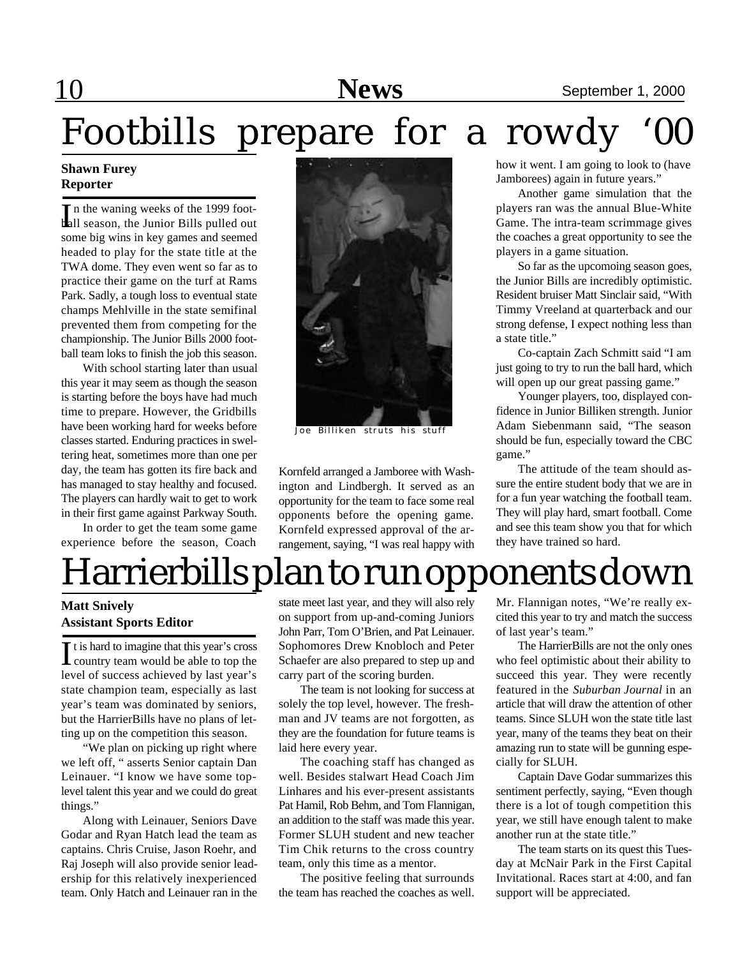### 10 **News** September 1, 2000

# Footbills prepare for a rowdy

#### **Shawn Furey Reporter**

In the waning weeks of the 1999 foot-<br>
Lall season, the Junior Bills pulled out ball season, the Junior Bills pulled out some big wins in key games and seemed headed to play for the state title at the TWA dome. They even went so far as to practice their game on the turf at Rams Park. Sadly, a tough loss to eventual state champs Mehlville in the state semifinal prevented them from competing for the championship. The Junior Bills 2000 football team loks to finish the job this season.

With school starting later than usual this year it may seem as though the season is starting before the boys have had much time to prepare. However, the Gridbills have been working hard for weeks before classes started. Enduring practices in sweltering heat, sometimes more than one per day, the team has gotten its fire back and has managed to stay healthy and focused. The players can hardly wait to get to work in their first game against Parkway South.

In order to get the team some game experience before the season, Coach



Joe Billiken struts his stuff

Kornfeld arranged a Jamboree with Washington and Lindbergh. It served as an opportunity for the team to face some real opponents before the opening game. Kornfeld expressed approval of the arrangement, saying, "I was real happy with how it went. I am going to look to (have Jamborees) again in future years."

Another game simulation that the players ran was the annual Blue-White Game. The intra-team scrimmage gives the coaches a great opportunity to see the players in a game situation.

So far as the upcomoing season goes, the Junior Bills are incredibly optimistic. Resident bruiser Matt Sinclair said, "With Timmy Vreeland at quarterback and our strong defense, I expect nothing less than a state title."

Co-captain Zach Schmitt said "I am just going to try to run the ball hard, which will open up our great passing game."

Younger players, too, displayed confidence in Junior Billiken strength. Junior Adam Siebenmann said, "The season should be fun, especially toward the CBC game."

The attitude of the team should assure the entire student body that we are in for a fun year watching the football team. They will play hard, smart football. Come and see this team show you that for which they have trained so hard.

### Harrierbills plan to run opponents down

#### **Matt Snively Assistant Sports Editor**

It is hard to imagine that this year's cross<br>country team would be able to top the country team would be able to top the level of success achieved by last year's state champion team, especially as last year's team was dominated by seniors, but the HarrierBills have no plans of letting up on the competition this season.

"We plan on picking up right where we left off, " asserts Senior captain Dan Leinauer. "I know we have some toplevel talent this year and we could do great things."

Along with Leinauer, Seniors Dave Godar and Ryan Hatch lead the team as captains. Chris Cruise, Jason Roehr, and Raj Joseph will also provide senior leadership for this relatively inexperienced team. Only Hatch and Leinauer ran in the state meet last year, and they will also rely on support from up-and-coming Juniors John Parr, Tom O'Brien, and Pat Leinauer. Sophomores Drew Knobloch and Peter Schaefer are also prepared to step up and carry part of the scoring burden.

The team is not looking for success at solely the top level, however. The freshman and JV teams are not forgotten, as they are the foundation for future teams is laid here every year.

The coaching staff has changed as well. Besides stalwart Head Coach Jim Linhares and his ever-present assistants Pat Hamil, Rob Behm, and Tom Flannigan, an addition to the staff was made this year. Former SLUH student and new teacher Tim Chik returns to the cross country team, only this time as a mentor.

The positive feeling that surrounds the team has reached the coaches as well. Mr. Flannigan notes, "We're really excited this year to try and match the success of last year's team."

The HarrierBills are not the only ones who feel optimistic about their ability to succeed this year. They were recently featured in the *Suburban Journal* in an article that will draw the attention of other teams. Since SLUH won the state title last year, many of the teams they beat on their amazing run to state will be gunning especially for SLUH.

Captain Dave Godar summarizes this sentiment perfectly, saying, "Even though there is a lot of tough competition this year, we still have enough talent to make another run at the state title."

The team starts on its quest this Tuesday at McNair Park in the First Capital Invitational. Races start at 4:00, and fan support will be appreciated.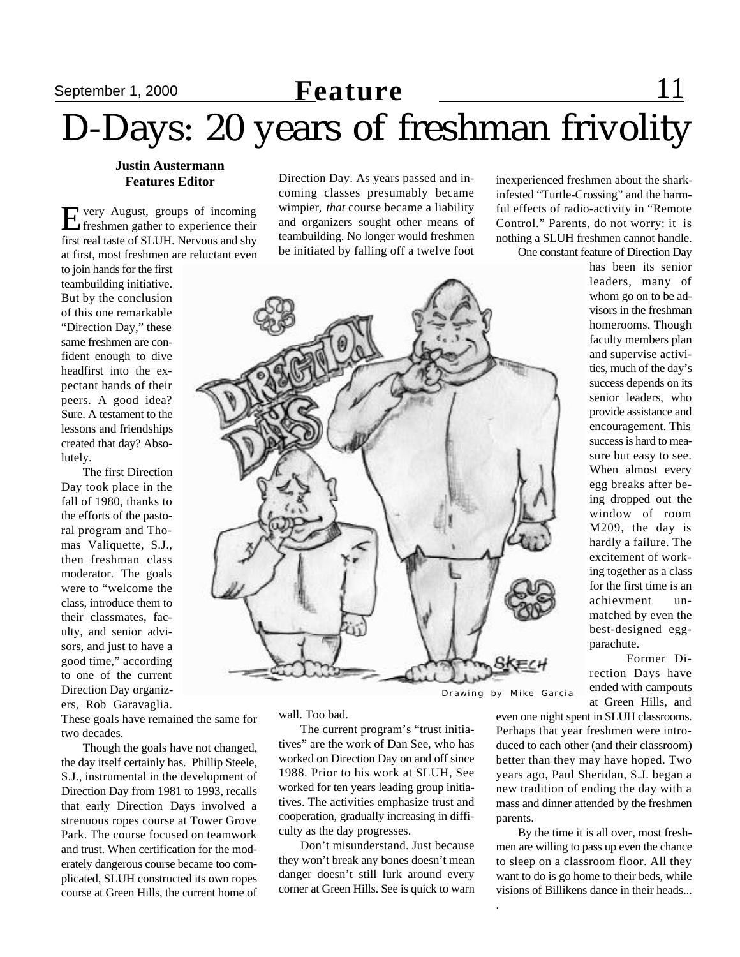### September 1, 2000 **Feature** 11 D-Days: 20 years of freshman frivolity

#### **Justin Austermann Features Editor**

Every August, groups of incoming<br>freshmen gather to experience their freshmen gather to experience their first real taste of SLUH. Nervous and shy at first, most freshmen are reluctant even

to join hands for the first teambuilding initiative. But by the conclusion of this one remarkable "Direction Day," these same freshmen are confident enough to dive headfirst into the expectant hands of their peers. A good idea? Sure. A testament to the lessons and friendships created that day? Absolutely.

The first Direction Day took place in the fall of 1980, thanks to the efforts of the pastoral program and Thomas Valiquette, S.J., then freshman class moderator. The goals were to "welcome the class, introduce them to their classmates, faculty, and senior advisors, and just to have a good time," according to one of the current Direction Day organizers, Rob Garavaglia.

These goals have remained the same for two decades.

Though the goals have not changed, the day itself certainly has. Phillip Steele, S.J., instrumental in the development of Direction Day from 1981 to 1993, recalls that early Direction Days involved a strenuous ropes course at Tower Grove Park. The course focused on teamwork and trust. When certification for the moderately dangerous course became too complicated, SLUH constructed its own ropes course at Green Hills, the current home of Direction Day. As years passed and incoming classes presumably became wimpier, *that* course became a liability and organizers sought other means of teambuilding. No longer would freshmen be initiated by falling off a twelve foot

wall. Too bad.

The current program's "trust initiatives" are the work of Dan See, who has worked on Direction Day on and off since 1988. Prior to his work at SLUH, See worked for ten years leading group initiatives. The activities emphasize trust and cooperation, gradually increasing in difficulty as the day progresses.

Don't misunderstand. Just because they won't break any bones doesn't mean danger doesn't still lurk around every corner at Green Hills. See is quick to warn

Drawing by Mike Garcia

.

even one night spent in SLUH classrooms. Perhaps that year freshmen were introduced to each other (and their classroom) better than they may have hoped. Two years ago, Paul Sheridan, S.J. began a new tradition of ending the day with a mass and dinner attended by the freshmen parents.

By the time it is all over, most freshmen are willing to pass up even the chance to sleep on a classroom floor. All they want to do is go home to their beds, while visions of Billikens dance in their heads...

rection Days have

ended with campouts at Green Hills, and

nothing a SLUH freshmen cannot handle. One constant feature of Direction Day has been its senior leaders, many of whom go on to be advisors in the freshman homerooms. Though faculty members plan and supervise activities, much of the day's success depends on its senior leaders, who provide assistance and encouragement. This success is hard to measure but easy to see. When almost every egg breaks after being dropped out the window of room M209, the day is hardly a failure. The excitement of working together as a class for the first time is an achievment unmatched by even the best-designed eggparachute. Former Di-

inexperienced freshmen about the sharkinfested "Turtle-Crossing" and the harmful effects of radio-activity in "Remote Control." Parents, do not worry: it is